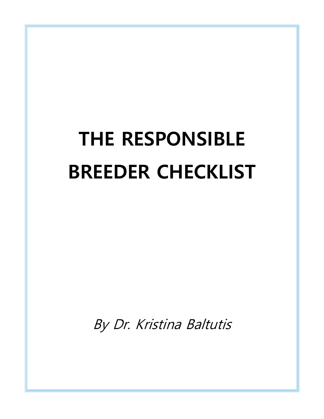# **THE RESPONSIBLE BREEDER CHECKLIST**

By Dr. Kristina Baltutis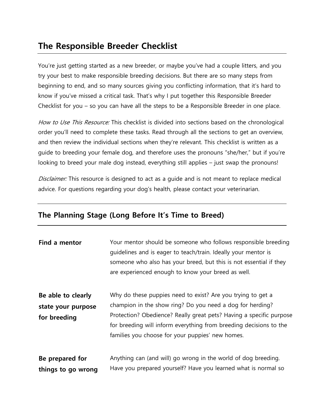# **The Responsible Breeder Checklist**

You're just getting started as a new breeder, or maybe you've had a couple litters, and you try your best to make responsible breeding decisions. But there are so many steps from beginning to end, and so many sources giving you conflicting information, that it's hard to know if you've missed a critical task. That's why I put together this Responsible Breeder Checklist for you – so you can have all the steps to be a Responsible Breeder in one place.

How to Use This Resource: This checklist is divided into sections based on the chronological order you'll need to complete these tasks. Read through all the sections to get an overview, and then review the individual sections when they're relevant. This checklist is written as a guide to breeding your female dog, and therefore uses the pronouns "she/her," but if you're looking to breed your male dog instead, everything still applies – just swap the pronouns!

Disclaimer: This resource is designed to act as a guide and is not meant to replace medical advice. For questions regarding your dog's health, please contact your veterinarian.

#### **The Planning Stage (Long Before It's Time to Breed)**

| Find a mentor                                            | Your mentor should be someone who follows responsible breeding<br>guidelines and is eager to teach/train. Ideally your mentor is<br>someone who also has your breed, but this is not essential if they<br>are experienced enough to know your breed as well.                                                              |
|----------------------------------------------------------|---------------------------------------------------------------------------------------------------------------------------------------------------------------------------------------------------------------------------------------------------------------------------------------------------------------------------|
| Be able to clearly<br>state your purpose<br>for breeding | Why do these puppies need to exist? Are you trying to get a<br>champion in the show ring? Do you need a dog for herding?<br>Protection? Obedience? Really great pets? Having a specific purpose<br>for breeding will inform everything from breeding decisions to the<br>families you choose for your puppies' new homes. |
| Be prepared for<br>things to go wrong                    | Anything can (and will) go wrong in the world of dog breeding.<br>Have you prepared yourself? Have you learned what is normal so                                                                                                                                                                                          |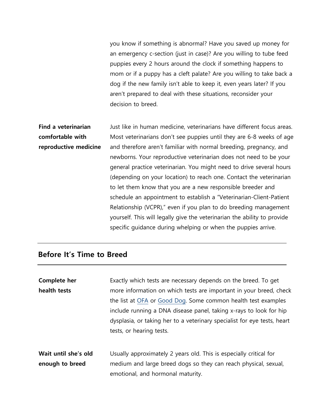you know if something is abnormal? Have you saved up money for an emergency c-section (just in case)? Are you willing to tube feed puppies every 2 hours around the clock if something happens to mom or if a puppy has a cleft palate? Are you willing to take back a dog if the new family isn't able to keep it, even years later? If you aren't prepared to deal with these situations, reconsider your decision to breed.

**Find a veterinarian comfortable with reproductive medicine** Just like in human medicine, veterinarians have different focus areas. Most veterinarians don't see puppies until they are 6-8 weeks of age and therefore aren't familiar with normal breeding, pregnancy, and newborns. Your reproductive veterinarian does not need to be your general practice veterinarian. You might need to drive several hours (depending on your location) to reach one. Contact the veterinarian to let them know that you are a new responsible breeder and schedule an appointment to establish a "Veterinarian-Client-Patient Relationship (VCPR)," even if you plan to do breeding management yourself. This will legally give the veterinarian the ability to provide specific guidance during whelping or when the puppies arrive.

#### **Before It's Time to Breed**

| Complete her<br>health tests | Exactly which tests are necessary depends on the breed. To get<br>more information on which tests are important in your breed, check<br>the list at OFA or Good Dog. Some common health test examples<br>include running a DNA disease panel, taking x-rays to look for hip<br>dysplasia, or taking her to a veterinary specialist for eye tests, heart |
|------------------------------|---------------------------------------------------------------------------------------------------------------------------------------------------------------------------------------------------------------------------------------------------------------------------------------------------------------------------------------------------------|
|                              | tests, or hearing tests.                                                                                                                                                                                                                                                                                                                                |
| Wait until she's old         | Usually approximately 2 years old. This is especially critical for                                                                                                                                                                                                                                                                                      |
| enough to breed              | medium and large breed dogs so they can reach physical, sexual,                                                                                                                                                                                                                                                                                         |
|                              | emotional, and hormonal maturity.                                                                                                                                                                                                                                                                                                                       |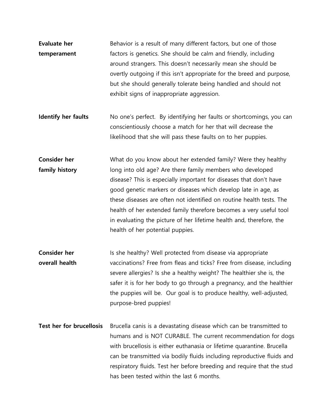- **Evaluate her temperament** Behavior is a result of many different factors, but one of those factors is genetics. She should be calm and friendly, including around strangers. This doesn't necessarily mean she should be overtly outgoing if this isn't appropriate for the breed and purpose, but she should generally tolerate being handled and should not exhibit signs of inappropriate aggression.
- **Identify her faults** No one's perfect. By identifying her faults or shortcomings, you can conscientiously choose a match for her that will decrease the likelihood that she will pass these faults on to her puppies.

**Consider her family history** What do you know about her extended family? Were they healthy long into old age? Are there family members who developed disease? This is especially important for diseases that don't have good genetic markers or diseases which develop late in age, as these diseases are often not identified on routine health tests. The health of her extended family therefore becomes a very useful tool in evaluating the picture of her lifetime health and, therefore, the health of her potential puppies.

- **Consider her overall health** Is she healthy? Well protected from disease via appropriate vaccinations? Free from fleas and ticks? Free from disease, including severe allergies? Is she a healthy weight? The healthier she is, the safer it is for her body to go through a pregnancy, and the healthier the puppies will be. Our goal is to produce healthy, well-adjusted, purpose-bred puppies!
- **Test her for brucellosis** Brucella canis is a devastating disease which can be transmitted to humans and is NOT CURABLE. The current recommendation for dogs with brucellosis is either euthanasia or lifetime quarantine. Brucella can be transmitted via bodily fluids including reproductive fluids and respiratory fluids. Test her before breeding and require that the stud has been tested within the last 6 months.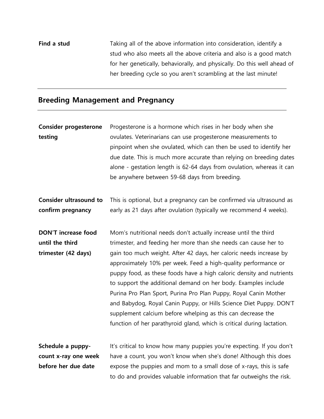**Find a stud** Taking all of the above information into consideration, identify a stud who also meets all the above criteria and also is a good match for her genetically, behaviorally, and physically. Do this well ahead of her breeding cycle so you aren't scrambling at the last minute!

#### **Breeding Management and Pregnancy**

| <b>Consider progesterone</b>  | Progesterone is a hormone which rises in her body when she                                              |
|-------------------------------|---------------------------------------------------------------------------------------------------------|
| testing                       | ovulates. Veterinarians can use progesterone measurements to                                            |
|                               | pinpoint when she ovulated, which can then be used to identify her                                      |
|                               | due date. This is much more accurate than relying on breeding dates                                     |
|                               | alone - gestation length is 62-64 days from ovulation, whereas it can                                   |
|                               | be anywhere between 59-68 days from breeding.                                                           |
| <b>Consider ultrasound to</b> | This is optional, but a pregnancy can be confirmed via ultrasound as                                    |
| confirm pregnancy             | early as 21 days after ovulation (typically we recommend 4 weeks).                                      |
| <b>DON'T increase food</b>    | Mom's nutritional needs don't actually increase until the third                                         |
| until the third               | trimester, and feeding her more than she needs can cause her to                                         |
| trimester (42 days)           | gain too much weight. After 42 days, her caloric needs increase by                                      |
|                               | approximately 10% per week. Feed a high-quality performance or                                          |
|                               | puppy food, as these foods have a high caloric density and nutrients                                    |
|                               | to support the additional demand on her body. Examples include                                          |
|                               | Purina Pro Plan Sport, Purina Pro Plan Puppy, Royal Canin Mother                                        |
|                               | and Babydog, Royal Canin Puppy, or Hills Science Diet Puppy. DON'T                                      |
|                               | supplement calcium before whelping as this can decrease the                                             |
|                               | function of her parathyroid gland, which is critical during lactation.                                  |
| $C = 1$ and $C = 1$           | الباريج والمستحل والمستنقص والمستور والمتألفات والمتحدث والمتحدث والمستحدث والمستحل والمستنقذ والمستحار |

**Schedule a puppycount x-ray one week before her due date** It's critical to know how many puppies you're expecting. If you don't have a count, you won't know when she's done! Although this does expose the puppies and mom to a small dose of x-rays, this is safe to do and provides valuable information that far outweighs the risk.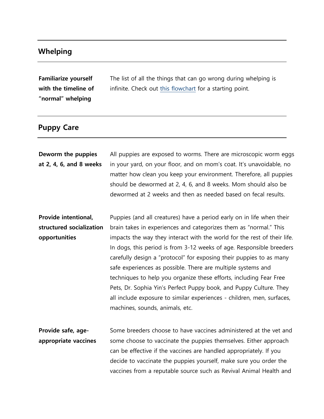## **Whelping**

**Familiarize yourself with the timeline of "normal" whelping**

The list of all the things that can go wrong during whelping is infinite. Check out this flowchart for a starting point.

## **Puppy Care**

| Deworm the puppies<br>at 2, 4, 6, and 8 weeks                     | All puppies are exposed to worms. There are microscopic worm eggs<br>in your yard, on your floor, and on mom's coat. It's unavoidable, no<br>matter how clean you keep your environment. Therefore, all puppies<br>should be dewormed at 2, 4, 6, and 8 weeks. Mom should also be<br>dewormed at 2 weeks and then as needed based on fecal results.                                                                                                                                                                                                                                                                                                                                            |
|-------------------------------------------------------------------|------------------------------------------------------------------------------------------------------------------------------------------------------------------------------------------------------------------------------------------------------------------------------------------------------------------------------------------------------------------------------------------------------------------------------------------------------------------------------------------------------------------------------------------------------------------------------------------------------------------------------------------------------------------------------------------------|
| Provide intentional,<br>structured socialization<br>opportunities | Puppies (and all creatures) have a period early on in life when their<br>brain takes in experiences and categorizes them as "normal." This<br>impacts the way they interact with the world for the rest of their life.<br>In dogs, this period is from 3-12 weeks of age. Responsible breeders<br>carefully design a "protocol" for exposing their puppies to as many<br>safe experiences as possible. There are multiple systems and<br>techniques to help you organize these efforts, including Fear Free<br>Pets, Dr. Sophia Yin's Perfect Puppy book, and Puppy Culture. They<br>all include exposure to similar experiences - children, men, surfaces,<br>machines, sounds, animals, etc. |
| Provide safe, age-<br>appropriate vaccines                        | Some breeders choose to have vaccines administered at the vet and<br>some choose to vaccinate the puppies themselves. Either approach<br>can be effective if the vaccines are handled appropriately. If you<br>decide to vaccinate the puppies yourself, make sure you order the<br>vaccines from a reputable source such as Revival Animal Health and                                                                                                                                                                                                                                                                                                                                         |